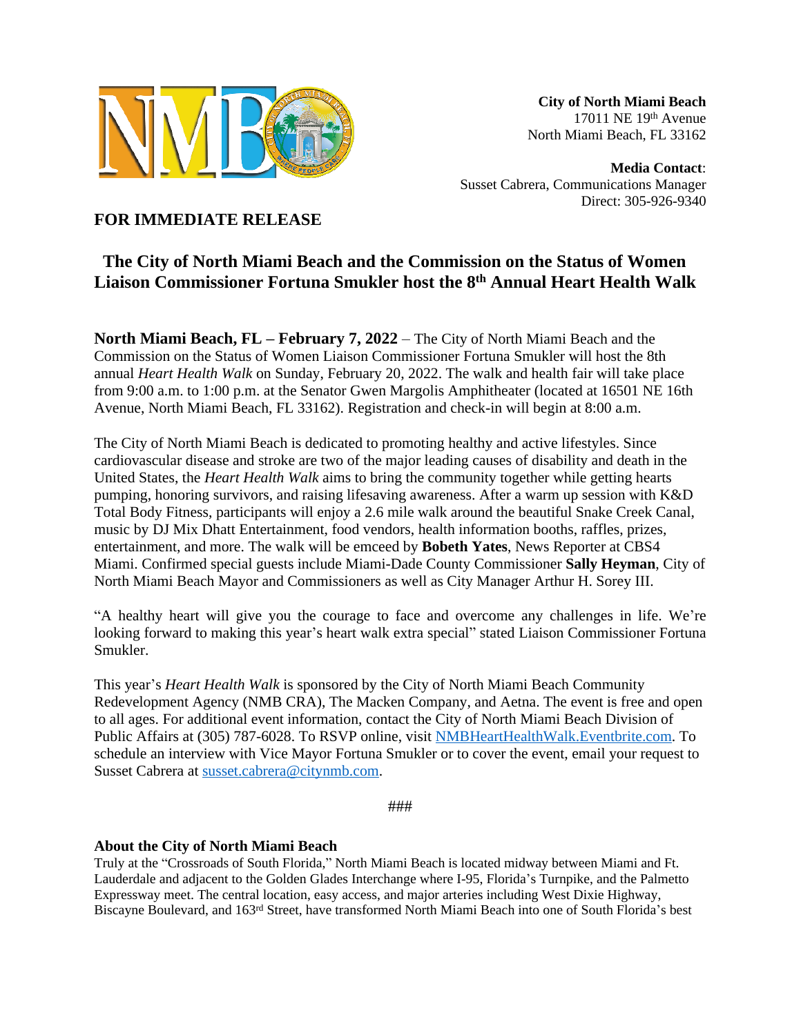

**City of North Miami Beach** 17011 NE 19th Avenue North Miami Beach, FL 33162

**Media Contact**: Susset Cabrera, Communications Manager Direct: 305-926-9340

**FOR IMMEDIATE RELEASE**

## **The City of North Miami Beach and the Commission on the Status of Women Liaison Commissioner Fortuna Smukler host the 8th Annual Heart Health Walk**

**North Miami Beach, FL – February 7, 2022** – The City of North Miami Beach and the Commission on the Status of Women Liaison Commissioner Fortuna Smukler will host the 8th annual *Heart Health Walk* on Sunday, February 20, 2022. The walk and health fair will take place from 9:00 a.m. to 1:00 p.m. at the Senator Gwen Margolis Amphitheater (located at 16501 NE 16th Avenue, North Miami Beach, FL 33162). Registration and check-in will begin at 8:00 a.m.

The City of North Miami Beach is dedicated to promoting healthy and active lifestyles. Since cardiovascular disease and stroke are two of the major leading causes of disability and death in the United States, the *Heart Health Walk* aims to bring the community together while getting hearts pumping, honoring survivors, and raising lifesaving awareness. After a warm up session with K&D Total Body Fitness, participants will enjoy a 2.6 mile walk around the beautiful Snake Creek Canal, music by DJ Mix Dhatt Entertainment, food vendors, health information booths, raffles, prizes, entertainment, and more. The walk will be emceed by **Bobeth Yates**, News Reporter at CBS4 Miami. Confirmed special guests include Miami-Dade County Commissioner **Sally Heyman**, City of North Miami Beach Mayor and Commissioners as well as City Manager Arthur H. Sorey III.

"A healthy heart will give you the courage to face and overcome any challenges in life. We're looking forward to making this year's heart walk extra special" stated Liaison Commissioner Fortuna Smukler.

This year's *Heart Health Walk* is sponsored by the City of North Miami Beach Community Redevelopment Agency (NMB CRA), The Macken Company, and Aetna. The event is free and open to all ages. For additional event information, contact the City of North Miami Beach Division of Public Affairs at (305) 787-6028. To RSVP online, visit [NMBHeartHealthWalk.Eventbrite.com.](https://nmbhearthealthwalk.eventbrite.com) To schedule an interview with Vice Mayor Fortuna Smukler or to cover the event, email your request to Susset Cabrera at [susset.cabrera@citynmb.com.](mailto:susset.cabrera@citynmb.com)

###

## **About the City of North Miami Beach**

Truly at the "Crossroads of South Florida," North Miami Beach is located midway between Miami and Ft. Lauderdale and adjacent to the Golden Glades Interchange where I-95, Florida's Turnpike, and the Palmetto Expressway meet. The central location, easy access, and major arteries including West Dixie Highway, Biscayne Boulevard, and 163rd Street, have transformed North Miami Beach into one of South Florida's best